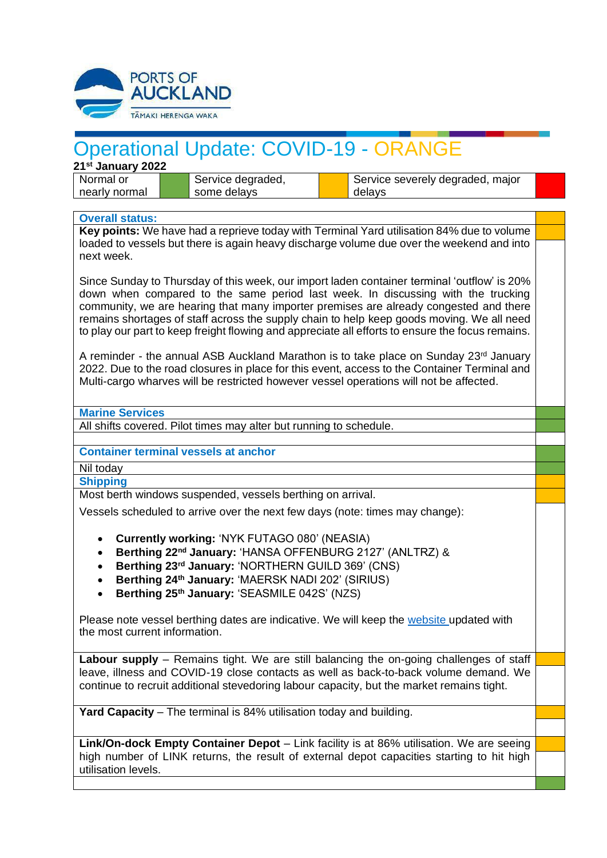

## Operational Update: COVID-19 - ORANGE

**21st January 2022** Normal or nearly normal

Service degraded, some delays

Service severely degraded, major delays

## **Overall status:**

**Key points:** We have had a reprieve today with Terminal Yard utilisation 84% due to volume loaded to vessels but there is again heavy discharge volume due over the weekend and into next week.

Since Sunday to Thursday of this week, our import laden container terminal 'outflow' is 20% down when compared to the same period last week. In discussing with the trucking community, we are hearing that many importer premises are already congested and there remains shortages of staff across the supply chain to help keep goods moving. We all need to play our part to keep freight flowing and appreciate all efforts to ensure the focus remains.

A reminder - the annual ASB Auckland Marathon is to take place on Sunday 23rd January 2022. Due to the road closures in place for this event, access to the Container Terminal and Multi-cargo wharves will be restricted however vessel operations will not be affected.

**Marine Services**

All shifts covered. Pilot times may alter but running to schedule.

## **Container terminal vessels at anchor**

Nil today

**Shipping**

Most berth windows suspended, vessels berthing on arrival.

Vessels scheduled to arrive over the next few days (note: times may change):

- **Currently working:** 'NYK FUTAGO 080' (NEASIA)
- **Berthing 22 nd January:** 'HANSA OFFENBURG 2127' (ANLTRZ) &
- **Berthing 23 rd January:** 'NORTHERN GUILD 369' (CNS)
- **Berthing 24 th January:** 'MAERSK NADI 202' (SIRIUS)
- **Berthing 25 th January:** 'SEASMILE 042S' (NZS)

Please note vessel berthing dates are indicative. We will keep the [website](https://apc01.safelinks.protection.outlook.com/?url=http%3A%2F%2Fwww.poal.co.nz%2F&data=04%7C01%7CBallM%40poal.co.nz%7Cf81681dfd77a4707771f08d99e6ca75c%7C2b23a40942664f41b89e60e72a40ef7f%7C0%7C0%7C637715011762958127%7CUnknown%7CTWFpbGZsb3d8eyJWIjoiMC4wLjAwMDAiLCJQIjoiV2luMzIiLCJBTiI6Ik1haWwiLCJXVCI6Mn0%3D%7C1000&sdata=Fha6YVp7kzv4EzxbVyWrJ6MwaPf%2FJYKhrqKzj7tEdT4%3D&reserved=0) updated with the most current information.

**Labour supply** – Remains tight. We are still balancing the on-going challenges of staff leave, illness and COVID-19 close contacts as well as back-to-back volume demand. We continue to recruit additional stevedoring labour capacity, but the market remains tight.

**Yard Capacity** – The terminal is 84% utilisation today and building.

**Link/On-dock Empty Container Depot** – Link facility is at 86% utilisation. We are seeing high number of LINK returns, the result of external depot capacities starting to hit high utilisation levels.